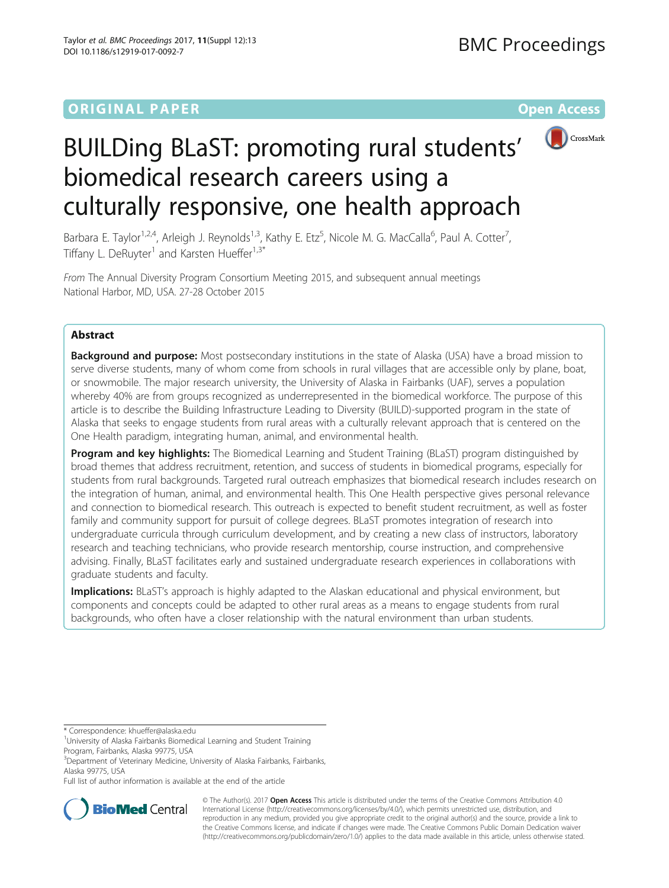# **ORIGINAL PAPER CONSERVATION CONSERVATION CONSERVATION CONSERVATION CONSERVATION CONSERVATION CONSERVATION**



# BUILDing BLaST: promoting rural students' biomedical research careers using a culturally responsive, one health approach

Barbara E. Taylor<sup>1,2,4</sup>, Arleigh J. Reynolds<sup>1,3</sup>, Kathy E. Etz<sup>5</sup>, Nicole M. G. MacCalla<sup>6</sup>, Paul A. Cotter<sup>7</sup> , Tiffany L. DeRuyter<sup>1</sup> and Karsten Hueffer<sup>1,3\*</sup>

From The Annual Diversity Program Consortium Meeting 2015, and subsequent annual meetings National Harbor, MD, USA. 27-28 October 2015

# Abstract

Background and purpose: Most postsecondary institutions in the state of Alaska (USA) have a broad mission to serve diverse students, many of whom come from schools in rural villages that are accessible only by plane, boat, or snowmobile. The major research university, the University of Alaska in Fairbanks (UAF), serves a population whereby 40% are from groups recognized as underrepresented in the biomedical workforce. The purpose of this article is to describe the Building Infrastructure Leading to Diversity (BUILD)-supported program in the state of Alaska that seeks to engage students from rural areas with a culturally relevant approach that is centered on the One Health paradigm, integrating human, animal, and environmental health.

Program and key highlights: The Biomedical Learning and Student Training (BLaST) program distinguished by broad themes that address recruitment, retention, and success of students in biomedical programs, especially for students from rural backgrounds. Targeted rural outreach emphasizes that biomedical research includes research on the integration of human, animal, and environmental health. This One Health perspective gives personal relevance and connection to biomedical research. This outreach is expected to benefit student recruitment, as well as foster family and community support for pursuit of college degrees. BLaST promotes integration of research into undergraduate curricula through curriculum development, and by creating a new class of instructors, laboratory research and teaching technicians, who provide research mentorship, course instruction, and comprehensive advising. Finally, BLaST facilitates early and sustained undergraduate research experiences in collaborations with graduate students and faculty.

Implications: BLaST's approach is highly adapted to the Alaskan educational and physical environment, but components and concepts could be adapted to other rural areas as a means to engage students from rural backgrounds, who often have a closer relationship with the natural environment than urban students.

\* Correspondence: [khueffer@alaska.edu](mailto:khueffer@alaska.edu) <sup>1</sup>

<sup>1</sup>University of Alaska Fairbanks Biomedical Learning and Student Training Program, Fairbanks, Alaska 99775, USA

<sup>3</sup>Department of Veterinary Medicine, University of Alaska Fairbanks, Fairbanks, Alaska 99775, USA

Full list of author information is available at the end of the article



© The Author(s). 2017 **Open Access** This article is distributed under the terms of the Creative Commons Attribution 4.0 International License [\(http://creativecommons.org/licenses/by/4.0/](http://creativecommons.org/licenses/by/4.0/)), which permits unrestricted use, distribution, and reproduction in any medium, provided you give appropriate credit to the original author(s) and the source, provide a link to the Creative Commons license, and indicate if changes were made. The Creative Commons Public Domain Dedication waiver [\(http://creativecommons.org/publicdomain/zero/1.0/](http://creativecommons.org/publicdomain/zero/1.0/)) applies to the data made available in this article, unless otherwise stated.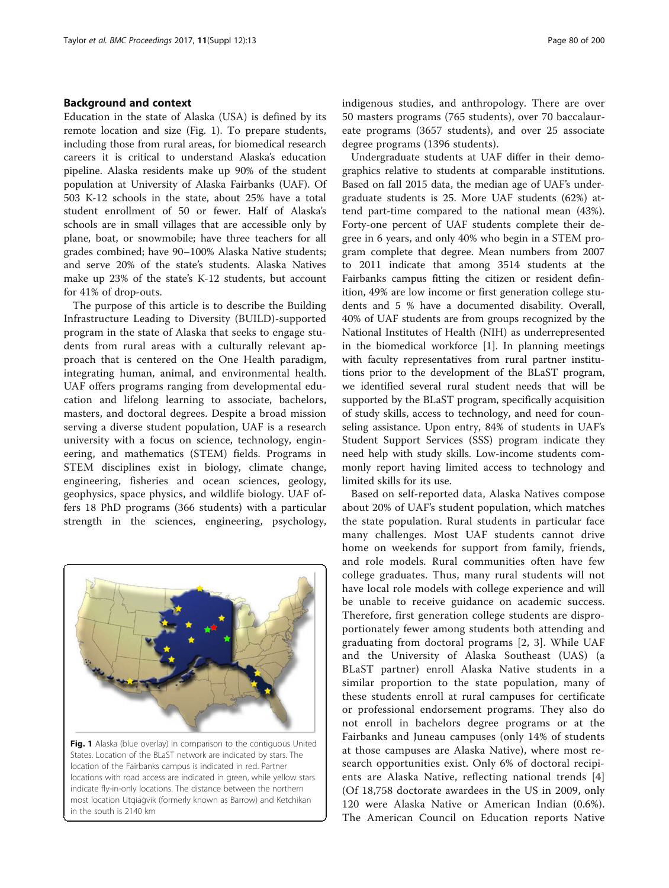# <span id="page-1-0"></span>Background and context

Education in the state of Alaska (USA) is defined by its remote location and size (Fig. 1). To prepare students, including those from rural areas, for biomedical research careers it is critical to understand Alaska's education pipeline. Alaska residents make up 90% of the student population at University of Alaska Fairbanks (UAF). Of 503 K-12 schools in the state, about 25% have a total student enrollment of 50 or fewer. Half of Alaska's schools are in small villages that are accessible only by plane, boat, or snowmobile; have three teachers for all grades combined; have 90–100% Alaska Native students; and serve 20% of the state's students. Alaska Natives make up 23% of the state's K-12 students, but account for 41% of drop-outs.

The purpose of this article is to describe the Building Infrastructure Leading to Diversity (BUILD)-supported program in the state of Alaska that seeks to engage students from rural areas with a culturally relevant approach that is centered on the One Health paradigm, integrating human, animal, and environmental health. UAF offers programs ranging from developmental education and lifelong learning to associate, bachelors, masters, and doctoral degrees. Despite a broad mission serving a diverse student population, UAF is a research university with a focus on science, technology, engineering, and mathematics (STEM) fields. Programs in STEM disciplines exist in biology, climate change, engineering, fisheries and ocean sciences, geology, geophysics, space physics, and wildlife biology. UAF offers 18 PhD programs (366 students) with a particular strength in the sciences, engineering, psychology,



States. Location of the BLaST network are indicated by stars. The location of the Fairbanks campus is indicated in red. Partner locations with road access are indicated in green, while yellow stars indicate fly-in-only locations. The distance between the northern most location Utqiaġvik (formerly known as Barrow) and Ketchikan in the south is 2140 km

indigenous studies, and anthropology. There are over 50 masters programs (765 students), over 70 baccalaureate programs (3657 students), and over 25 associate degree programs (1396 students).

Undergraduate students at UAF differ in their demographics relative to students at comparable institutions. Based on fall 2015 data, the median age of UAF's undergraduate students is 25. More UAF students (62%) attend part-time compared to the national mean (43%). Forty-one percent of UAF students complete their degree in 6 years, and only 40% who begin in a STEM program complete that degree. Mean numbers from 2007 to 2011 indicate that among 3514 students at the Fairbanks campus fitting the citizen or resident definition, 49% are low income or first generation college students and 5 % have a documented disability. Overall, 40% of UAF students are from groups recognized by the National Institutes of Health (NIH) as underrepresented in the biomedical workforce [\[1](#page-9-0)]. In planning meetings with faculty representatives from rural partner institutions prior to the development of the BLaST program, we identified several rural student needs that will be supported by the BLaST program, specifically acquisition of study skills, access to technology, and need for counseling assistance. Upon entry, 84% of students in UAF's Student Support Services (SSS) program indicate they need help with study skills. Low-income students commonly report having limited access to technology and limited skills for its use.

Based on self-reported data, Alaska Natives compose about 20% of UAF's student population, which matches the state population. Rural students in particular face many challenges. Most UAF students cannot drive home on weekends for support from family, friends, and role models. Rural communities often have few college graduates. Thus, many rural students will not have local role models with college experience and will be unable to receive guidance on academic success. Therefore, first generation college students are disproportionately fewer among students both attending and graduating from doctoral programs [\[2](#page-9-0), [3](#page-9-0)]. While UAF and the University of Alaska Southeast (UAS) (a BLaST partner) enroll Alaska Native students in a similar proportion to the state population, many of these students enroll at rural campuses for certificate or professional endorsement programs. They also do not enroll in bachelors degree programs or at the Fairbanks and Juneau campuses (only 14% of students at those campuses are Alaska Native), where most research opportunities exist. Only 6% of doctoral recipients are Alaska Native, reflecting national trends [\[4](#page-9-0)] (Of 18,758 doctorate awardees in the US in 2009, only 120 were Alaska Native or American Indian (0.6%). The American Council on Education reports Native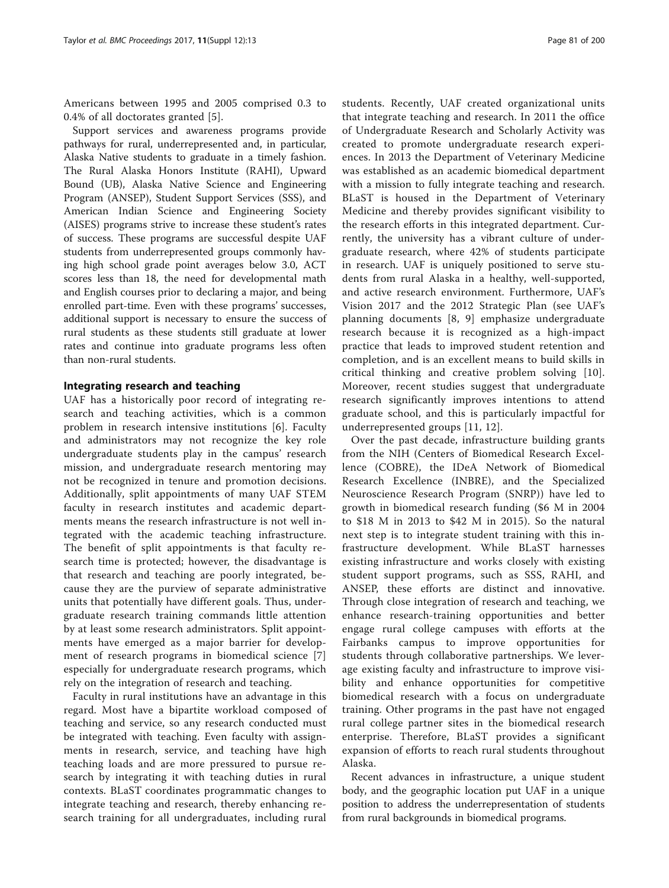Americans between 1995 and 2005 comprised 0.3 to 0.4% of all doctorates granted [\[5](#page-9-0)].

Support services and awareness programs provide pathways for rural, underrepresented and, in particular, Alaska Native students to graduate in a timely fashion. The Rural Alaska Honors Institute (RAHI), Upward Bound (UB), Alaska Native Science and Engineering Program (ANSEP), Student Support Services (SSS), and American Indian Science and Engineering Society (AISES) programs strive to increase these student's rates of success. These programs are successful despite UAF students from underrepresented groups commonly having high school grade point averages below 3.0, ACT scores less than 18, the need for developmental math and English courses prior to declaring a major, and being enrolled part-time. Even with these programs' successes, additional support is necessary to ensure the success of rural students as these students still graduate at lower rates and continue into graduate programs less often than non-rural students.

## Integrating research and teaching

UAF has a historically poor record of integrating research and teaching activities, which is a common problem in research intensive institutions [[6\]](#page-9-0). Faculty and administrators may not recognize the key role undergraduate students play in the campus' research mission, and undergraduate research mentoring may not be recognized in tenure and promotion decisions. Additionally, split appointments of many UAF STEM faculty in research institutes and academic departments means the research infrastructure is not well integrated with the academic teaching infrastructure. The benefit of split appointments is that faculty research time is protected; however, the disadvantage is that research and teaching are poorly integrated, because they are the purview of separate administrative units that potentially have different goals. Thus, undergraduate research training commands little attention by at least some research administrators. Split appointments have emerged as a major barrier for development of research programs in biomedical science [\[7](#page-9-0)] especially for undergraduate research programs, which rely on the integration of research and teaching.

Faculty in rural institutions have an advantage in this regard. Most have a bipartite workload composed of teaching and service, so any research conducted must be integrated with teaching. Even faculty with assignments in research, service, and teaching have high teaching loads and are more pressured to pursue research by integrating it with teaching duties in rural contexts. BLaST coordinates programmatic changes to integrate teaching and research, thereby enhancing research training for all undergraduates, including rural students. Recently, UAF created organizational units that integrate teaching and research. In 2011 the office of Undergraduate Research and Scholarly Activity was created to promote undergraduate research experiences. In 2013 the Department of Veterinary Medicine was established as an academic biomedical department with a mission to fully integrate teaching and research. BLaST is housed in the Department of Veterinary Medicine and thereby provides significant visibility to the research efforts in this integrated department. Currently, the university has a vibrant culture of undergraduate research, where 42% of students participate in research. UAF is uniquely positioned to serve students from rural Alaska in a healthy, well-supported, and active research environment. Furthermore, UAF's Vision 2017 and the 2012 Strategic Plan (see UAF's planning documents [[8, 9\]](#page-9-0) emphasize undergraduate research because it is recognized as a high-impact practice that leads to improved student retention and completion, and is an excellent means to build skills in critical thinking and creative problem solving [[10](#page-9-0)]. Moreover, recent studies suggest that undergraduate research significantly improves intentions to attend graduate school, and this is particularly impactful for underrepresented groups [[11, 12](#page-9-0)].

Over the past decade, infrastructure building grants from the NIH (Centers of Biomedical Research Excellence (COBRE), the IDeA Network of Biomedical Research Excellence (INBRE), and the Specialized Neuroscience Research Program (SNRP)) have led to growth in biomedical research funding (\$6 M in 2004 to \$18 M in 2013 to \$42 M in 2015). So the natural next step is to integrate student training with this infrastructure development. While BLaST harnesses existing infrastructure and works closely with existing student support programs, such as SSS, RAHI, and ANSEP, these efforts are distinct and innovative. Through close integration of research and teaching, we enhance research-training opportunities and better engage rural college campuses with efforts at the Fairbanks campus to improve opportunities for students through collaborative partnerships. We leverage existing faculty and infrastructure to improve visibility and enhance opportunities for competitive biomedical research with a focus on undergraduate training. Other programs in the past have not engaged rural college partner sites in the biomedical research enterprise. Therefore, BLaST provides a significant expansion of efforts to reach rural students throughout Alaska.

Recent advances in infrastructure, a unique student body, and the geographic location put UAF in a unique position to address the underrepresentation of students from rural backgrounds in biomedical programs.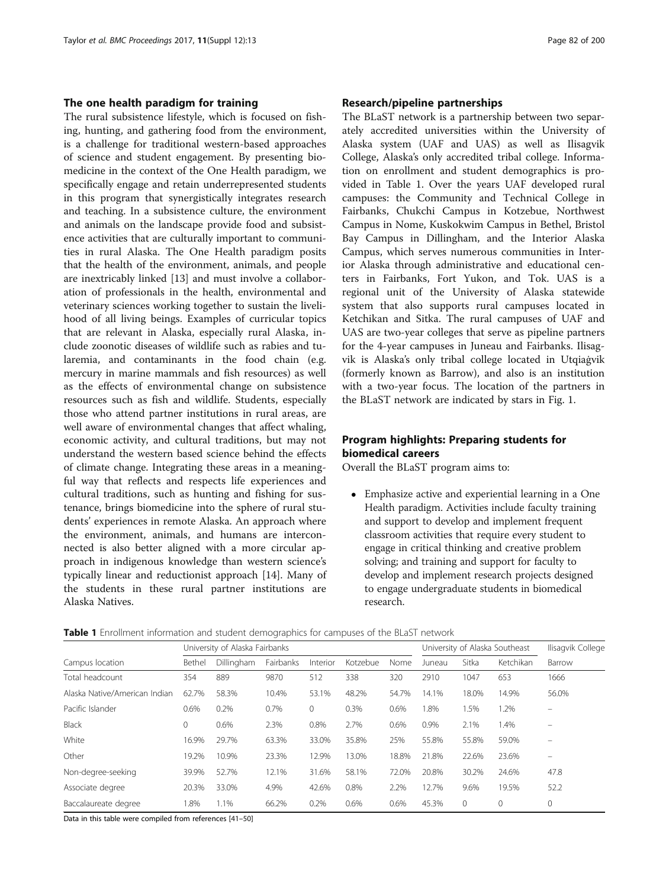# The one health paradigm for training

The rural subsistence lifestyle, which is focused on fishing, hunting, and gathering food from the environment, is a challenge for traditional western-based approaches of science and student engagement. By presenting biomedicine in the context of the One Health paradigm, we specifically engage and retain underrepresented students in this program that synergistically integrates research and teaching. In a subsistence culture, the environment and animals on the landscape provide food and subsistence activities that are culturally important to communities in rural Alaska. The One Health paradigm posits that the health of the environment, animals, and people are inextricably linked [\[13\]](#page-9-0) and must involve a collaboration of professionals in the health, environmental and veterinary sciences working together to sustain the livelihood of all living beings. Examples of curricular topics that are relevant in Alaska, especially rural Alaska, include zoonotic diseases of wildlife such as rabies and tularemia, and contaminants in the food chain (e.g. mercury in marine mammals and fish resources) as well as the effects of environmental change on subsistence resources such as fish and wildlife. Students, especially those who attend partner institutions in rural areas, are well aware of environmental changes that affect whaling, economic activity, and cultural traditions, but may not understand the western based science behind the effects of climate change. Integrating these areas in a meaningful way that reflects and respects life experiences and cultural traditions, such as hunting and fishing for sustenance, brings biomedicine into the sphere of rural students' experiences in remote Alaska. An approach where the environment, animals, and humans are interconnected is also better aligned with a more circular approach in indigenous knowledge than western science's typically linear and reductionist approach [[14\]](#page-9-0). Many of the students in these rural partner institutions are Alaska Natives.

# Research/pipeline partnerships

The BLaST network is a partnership between two separately accredited universities within the University of Alaska system (UAF and UAS) as well as Ilisagvik College, Alaska's only accredited tribal college. Information on enrollment and student demographics is provided in Table 1. Over the years UAF developed rural campuses: the Community and Technical College in Fairbanks, Chukchi Campus in Kotzebue, Northwest Campus in Nome, Kuskokwim Campus in Bethel, Bristol Bay Campus in Dillingham, and the Interior Alaska Campus, which serves numerous communities in Interior Alaska through administrative and educational centers in Fairbanks, Fort Yukon, and Tok. UAS is a regional unit of the University of Alaska statewide system that also supports rural campuses located in Ketchikan and Sitka. The rural campuses of UAF and UAS are two-year colleges that serve as pipeline partners for the 4-year campuses in Juneau and Fairbanks. Ilisagvik is Alaska's only tribal college located in Utqiaġvik (formerly known as Barrow), and also is an institution with a two-year focus. The location of the partners in the BLaST network are indicated by stars in Fig. [1.](#page-1-0)

# Program highlights: Preparing students for biomedical careers

Overall the BLaST program aims to:

 Emphasize active and experiential learning in a One Health paradigm. Activities include faculty training and support to develop and implement frequent classroom activities that require every student to engage in critical thinking and creative problem solving; and training and support for faculty to develop and implement research projects designed to engage undergraduate students in biomedical research.

**Table 1** Enrollment information and student demographics for campuses of the BLaST network

| Campus location               | University of Alaska Fairbanks |            |           |          |          |       | University of Alaska Southeast |             |              | Ilisagvik College |
|-------------------------------|--------------------------------|------------|-----------|----------|----------|-------|--------------------------------|-------------|--------------|-------------------|
|                               | Bethel                         | Dillingham | Fairbanks | Interior | Kotzebue | Nome  | Juneau                         | Sitka       | Ketchikan    | Barrow            |
| Total headcount               | 354                            | 889        | 9870      | 512      | 338      | 320   | 2910                           | 1047        | 653          | 1666              |
| Alaska Native/American Indian | 62.7%                          | 58.3%      | 10.4%     | 53.1%    | 48.2%    | 54.7% | 14.1%                          | 18.0%       | 14.9%        | 56.0%             |
| Pacific Islander              | 0.6%                           | 0.2%       | $0.7\%$   | $\circ$  | 0.3%     | 0.6%  | 1.8%                           | 1.5%        | 1.2%         |                   |
| Black                         |                                | 0.6%       | 2.3%      | 0.8%     | 2.7%     | 0.6%  | 0.9%                           | 2.1%        | 1.4%         |                   |
| White                         | 16.9%                          | 29.7%      | 63.3%     | 33.0%    | 35.8%    | 25%   | 55.8%                          | 55.8%       | 59.0%        |                   |
| Other                         | 19.2%                          | 10.9%      | 23.3%     | 12.9%    | 13.0%    | 18.8% | 21.8%                          | 22.6%       | 23.6%        | $-$               |
| Non-degree-seeking            | 39.9%                          | 52.7%      | 12.1%     | 31.6%    | 58.1%    | 72.0% | 20.8%                          | 30.2%       | 24.6%        | 47.8              |
| Associate degree              | 20.3%                          | 33.0%      | 4.9%      | 42.6%    | 0.8%     | 2.2%  | 12.7%                          | 9.6%        | 19.5%        | 52.2              |
| Baccalaureate degree          | 1.8%                           | 1.1%       | 66.2%     | 0.2%     | 0.6%     | 0.6%  | 45.3%                          | $\mathbf 0$ | $\mathbf{0}$ | 0                 |

Data in this table were compiled from references [[41](#page-9-0)–[50\]](#page-10-0)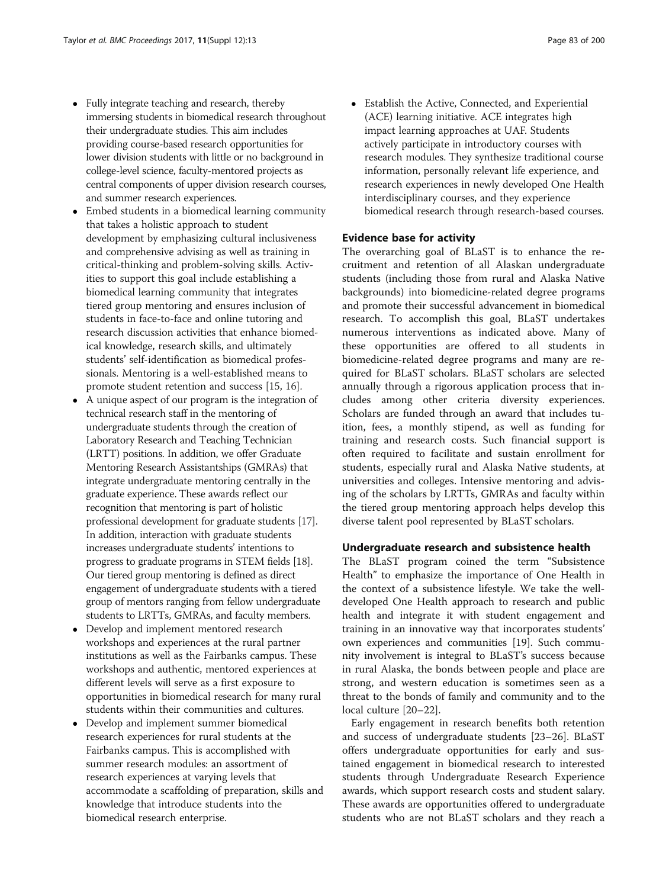- Fully integrate teaching and research, thereby immersing students in biomedical research throughout their undergraduate studies. This aim includes providing course-based research opportunities for lower division students with little or no background in college-level science, faculty-mentored projects as central components of upper division research courses, and summer research experiences.
- Embed students in a biomedical learning community that takes a holistic approach to student development by emphasizing cultural inclusiveness and comprehensive advising as well as training in critical-thinking and problem-solving skills. Activities to support this goal include establishing a biomedical learning community that integrates tiered group mentoring and ensures inclusion of students in face-to-face and online tutoring and research discussion activities that enhance biomedical knowledge, research skills, and ultimately students' self-identification as biomedical professionals. Mentoring is a well-established means to promote student retention and success [[15](#page-9-0), [16\]](#page-9-0).
- A unique aspect of our program is the integration of technical research staff in the mentoring of undergraduate students through the creation of Laboratory Research and Teaching Technician (LRTT) positions. In addition, we offer Graduate Mentoring Research Assistantships (GMRAs) that integrate undergraduate mentoring centrally in the graduate experience. These awards reflect our recognition that mentoring is part of holistic professional development for graduate students [\[17\]](#page-9-0). In addition, interaction with graduate students increases undergraduate students' intentions to progress to graduate programs in STEM fields [\[18](#page-9-0)]. Our tiered group mentoring is defined as direct engagement of undergraduate students with a tiered group of mentors ranging from fellow undergraduate students to LRTTs, GMRAs, and faculty members.
- Develop and implement mentored research workshops and experiences at the rural partner institutions as well as the Fairbanks campus. These workshops and authentic, mentored experiences at different levels will serve as a first exposure to opportunities in biomedical research for many rural students within their communities and cultures.
- Develop and implement summer biomedical research experiences for rural students at the Fairbanks campus. This is accomplished with summer research modules: an assortment of research experiences at varying levels that accommodate a scaffolding of preparation, skills and knowledge that introduce students into the biomedical research enterprise.

 Establish the Active, Connected, and Experiential (ACE) learning initiative. ACE integrates high impact learning approaches at UAF. Students actively participate in introductory courses with research modules. They synthesize traditional course information, personally relevant life experience, and research experiences in newly developed One Health interdisciplinary courses, and they experience biomedical research through research-based courses.

# Evidence base for activity

The overarching goal of BLaST is to enhance the recruitment and retention of all Alaskan undergraduate students (including those from rural and Alaska Native backgrounds) into biomedicine-related degree programs and promote their successful advancement in biomedical research. To accomplish this goal, BLaST undertakes numerous interventions as indicated above. Many of these opportunities are offered to all students in biomedicine-related degree programs and many are required for BLaST scholars. BLaST scholars are selected annually through a rigorous application process that includes among other criteria diversity experiences. Scholars are funded through an award that includes tuition, fees, a monthly stipend, as well as funding for training and research costs. Such financial support is often required to facilitate and sustain enrollment for students, especially rural and Alaska Native students, at universities and colleges. Intensive mentoring and advising of the scholars by LRTTs, GMRAs and faculty within the tiered group mentoring approach helps develop this diverse talent pool represented by BLaST scholars.

# Undergraduate research and subsistence health

The BLaST program coined the term "Subsistence Health" to emphasize the importance of One Health in the context of a subsistence lifestyle. We take the welldeveloped One Health approach to research and public health and integrate it with student engagement and training in an innovative way that incorporates students' own experiences and communities [\[19](#page-9-0)]. Such community involvement is integral to BLaST's success because in rural Alaska, the bonds between people and place are strong, and western education is sometimes seen as a threat to the bonds of family and community and to the local culture [[20](#page-9-0)–[22](#page-9-0)].

Early engagement in research benefits both retention and success of undergraduate students [[23](#page-9-0)–[26](#page-9-0)]. BLaST offers undergraduate opportunities for early and sustained engagement in biomedical research to interested students through Undergraduate Research Experience awards, which support research costs and student salary. These awards are opportunities offered to undergraduate students who are not BLaST scholars and they reach a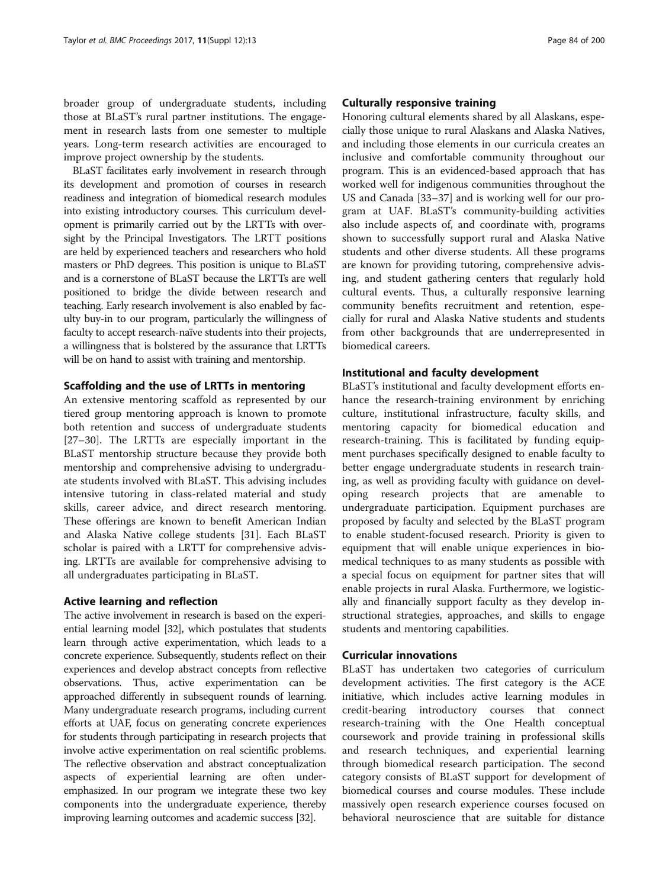broader group of undergraduate students, including those at BLaST's rural partner institutions. The engagement in research lasts from one semester to multiple years. Long-term research activities are encouraged to improve project ownership by the students.

BLaST facilitates early involvement in research through its development and promotion of courses in research readiness and integration of biomedical research modules into existing introductory courses. This curriculum development is primarily carried out by the LRTTs with oversight by the Principal Investigators. The LRTT positions are held by experienced teachers and researchers who hold masters or PhD degrees. This position is unique to BLaST and is a cornerstone of BLaST because the LRTTs are well positioned to bridge the divide between research and teaching. Early research involvement is also enabled by faculty buy-in to our program, particularly the willingness of faculty to accept research-naïve students into their projects, a willingness that is bolstered by the assurance that LRTTs will be on hand to assist with training and mentorship.

# Scaffolding and the use of LRTTs in mentoring

An extensive mentoring scaffold as represented by our tiered group mentoring approach is known to promote both retention and success of undergraduate students [[27](#page-9-0)–[30](#page-9-0)]. The LRTTs are especially important in the BLaST mentorship structure because they provide both mentorship and comprehensive advising to undergraduate students involved with BLaST. This advising includes intensive tutoring in class-related material and study skills, career advice, and direct research mentoring. These offerings are known to benefit American Indian and Alaska Native college students [[31](#page-9-0)]. Each BLaST scholar is paired with a LRTT for comprehensive advising. LRTTs are available for comprehensive advising to all undergraduates participating in BLaST.

# Active learning and reflection

The active involvement in research is based on the experiential learning model [\[32\]](#page-9-0), which postulates that students learn through active experimentation, which leads to a concrete experience. Subsequently, students reflect on their experiences and develop abstract concepts from reflective observations. Thus, active experimentation can be approached differently in subsequent rounds of learning. Many undergraduate research programs, including current efforts at UAF, focus on generating concrete experiences for students through participating in research projects that involve active experimentation on real scientific problems. The reflective observation and abstract conceptualization aspects of experiential learning are often underemphasized. In our program we integrate these two key components into the undergraduate experience, thereby improving learning outcomes and academic success [[32](#page-9-0)].

# Culturally responsive training

Honoring cultural elements shared by all Alaskans, especially those unique to rural Alaskans and Alaska Natives, and including those elements in our curricula creates an inclusive and comfortable community throughout our program. This is an evidenced-based approach that has worked well for indigenous communities throughout the US and Canada [[33](#page-9-0)–[37](#page-9-0)] and is working well for our program at UAF. BLaST's community-building activities also include aspects of, and coordinate with, programs shown to successfully support rural and Alaska Native students and other diverse students. All these programs are known for providing tutoring, comprehensive advising, and student gathering centers that regularly hold cultural events. Thus, a culturally responsive learning community benefits recruitment and retention, especially for rural and Alaska Native students and students from other backgrounds that are underrepresented in biomedical careers.

# Institutional and faculty development

BLaST's institutional and faculty development efforts enhance the research-training environment by enriching culture, institutional infrastructure, faculty skills, and mentoring capacity for biomedical education and research-training. This is facilitated by funding equipment purchases specifically designed to enable faculty to better engage undergraduate students in research training, as well as providing faculty with guidance on developing research projects that are amenable to undergraduate participation. Equipment purchases are proposed by faculty and selected by the BLaST program to enable student-focused research. Priority is given to equipment that will enable unique experiences in biomedical techniques to as many students as possible with a special focus on equipment for partner sites that will enable projects in rural Alaska. Furthermore, we logistically and financially support faculty as they develop instructional strategies, approaches, and skills to engage students and mentoring capabilities.

# Curricular innovations

BLaST has undertaken two categories of curriculum development activities. The first category is the ACE initiative, which includes active learning modules in credit-bearing introductory courses that connect research-training with the One Health conceptual coursework and provide training in professional skills and research techniques, and experiential learning through biomedical research participation. The second category consists of BLaST support for development of biomedical courses and course modules. These include massively open research experience courses focused on behavioral neuroscience that are suitable for distance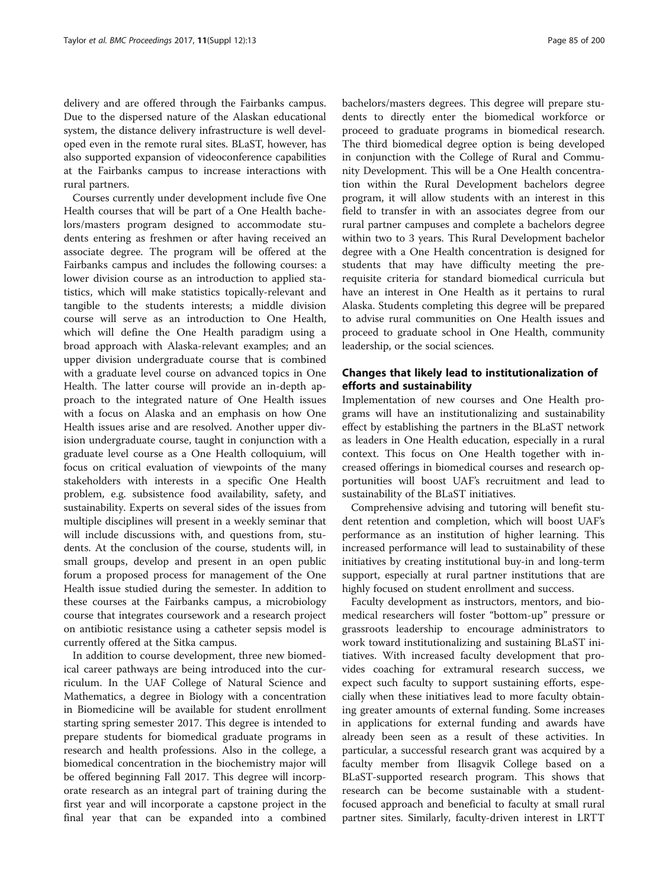delivery and are offered through the Fairbanks campus. Due to the dispersed nature of the Alaskan educational system, the distance delivery infrastructure is well developed even in the remote rural sites. BLaST, however, has also supported expansion of videoconference capabilities at the Fairbanks campus to increase interactions with rural partners.

Courses currently under development include five One Health courses that will be part of a One Health bachelors/masters program designed to accommodate students entering as freshmen or after having received an associate degree. The program will be offered at the Fairbanks campus and includes the following courses: a lower division course as an introduction to applied statistics, which will make statistics topically-relevant and tangible to the students interests; a middle division course will serve as an introduction to One Health, which will define the One Health paradigm using a broad approach with Alaska-relevant examples; and an upper division undergraduate course that is combined with a graduate level course on advanced topics in One Health. The latter course will provide an in-depth approach to the integrated nature of One Health issues with a focus on Alaska and an emphasis on how One Health issues arise and are resolved. Another upper division undergraduate course, taught in conjunction with a graduate level course as a One Health colloquium, will focus on critical evaluation of viewpoints of the many stakeholders with interests in a specific One Health problem, e.g. subsistence food availability, safety, and sustainability. Experts on several sides of the issues from multiple disciplines will present in a weekly seminar that will include discussions with, and questions from, students. At the conclusion of the course, students will, in small groups, develop and present in an open public forum a proposed process for management of the One Health issue studied during the semester. In addition to these courses at the Fairbanks campus, a microbiology course that integrates coursework and a research project on antibiotic resistance using a catheter sepsis model is currently offered at the Sitka campus.

In addition to course development, three new biomedical career pathways are being introduced into the curriculum. In the UAF College of Natural Science and Mathematics, a degree in Biology with a concentration in Biomedicine will be available for student enrollment starting spring semester 2017. This degree is intended to prepare students for biomedical graduate programs in research and health professions. Also in the college, a biomedical concentration in the biochemistry major will be offered beginning Fall 2017. This degree will incorporate research as an integral part of training during the first year and will incorporate a capstone project in the final year that can be expanded into a combined

bachelors/masters degrees. This degree will prepare students to directly enter the biomedical workforce or proceed to graduate programs in biomedical research. The third biomedical degree option is being developed in conjunction with the College of Rural and Community Development. This will be a One Health concentration within the Rural Development bachelors degree program, it will allow students with an interest in this field to transfer in with an associates degree from our rural partner campuses and complete a bachelors degree within two to 3 years. This Rural Development bachelor degree with a One Health concentration is designed for students that may have difficulty meeting the prerequisite criteria for standard biomedical curricula but have an interest in One Health as it pertains to rural Alaska. Students completing this degree will be prepared to advise rural communities on One Health issues and proceed to graduate school in One Health, community leadership, or the social sciences.

# Changes that likely lead to institutionalization of efforts and sustainability

Implementation of new courses and One Health programs will have an institutionalizing and sustainability effect by establishing the partners in the BLaST network as leaders in One Health education, especially in a rural context. This focus on One Health together with increased offerings in biomedical courses and research opportunities will boost UAF's recruitment and lead to sustainability of the BLaST initiatives.

Comprehensive advising and tutoring will benefit student retention and completion, which will boost UAF's performance as an institution of higher learning. This increased performance will lead to sustainability of these initiatives by creating institutional buy-in and long-term support, especially at rural partner institutions that are highly focused on student enrollment and success.

Faculty development as instructors, mentors, and biomedical researchers will foster "bottom-up" pressure or grassroots leadership to encourage administrators to work toward institutionalizing and sustaining BLaST initiatives. With increased faculty development that provides coaching for extramural research success, we expect such faculty to support sustaining efforts, especially when these initiatives lead to more faculty obtaining greater amounts of external funding. Some increases in applications for external funding and awards have already been seen as a result of these activities. In particular, a successful research grant was acquired by a faculty member from Ilisagvik College based on a BLaST-supported research program. This shows that research can be become sustainable with a studentfocused approach and beneficial to faculty at small rural partner sites. Similarly, faculty-driven interest in LRTT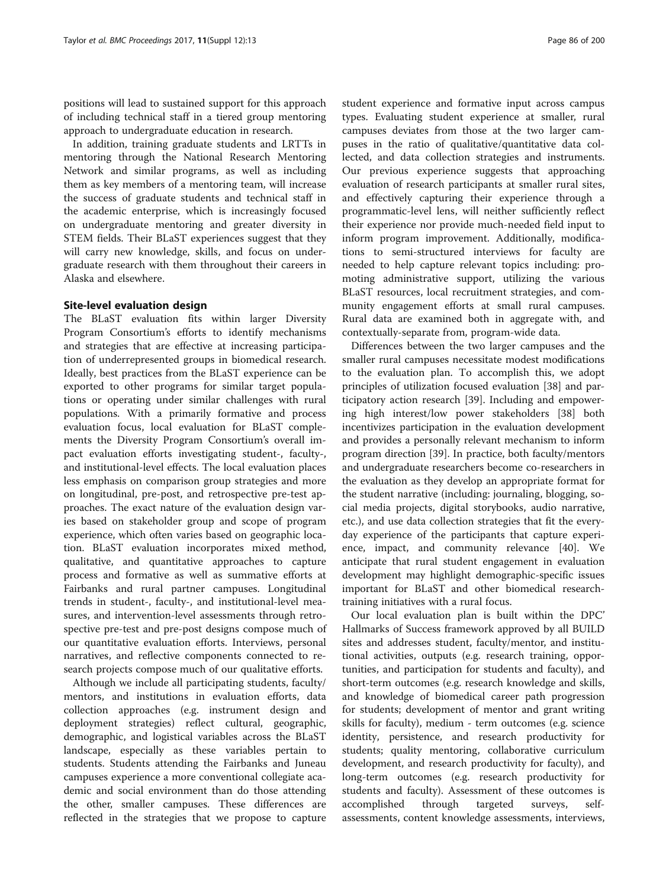positions will lead to sustained support for this approach of including technical staff in a tiered group mentoring approach to undergraduate education in research.

In addition, training graduate students and LRTTs in mentoring through the National Research Mentoring Network and similar programs, as well as including them as key members of a mentoring team, will increase the success of graduate students and technical staff in the academic enterprise, which is increasingly focused on undergraduate mentoring and greater diversity in STEM fields. Their BLaST experiences suggest that they will carry new knowledge, skills, and focus on undergraduate research with them throughout their careers in Alaska and elsewhere.

# Site-level evaluation design

The BLaST evaluation fits within larger Diversity Program Consortium's efforts to identify mechanisms and strategies that are effective at increasing participation of underrepresented groups in biomedical research. Ideally, best practices from the BLaST experience can be exported to other programs for similar target populations or operating under similar challenges with rural populations. With a primarily formative and process evaluation focus, local evaluation for BLaST complements the Diversity Program Consortium's overall impact evaluation efforts investigating student-, faculty-, and institutional-level effects. The local evaluation places less emphasis on comparison group strategies and more on longitudinal, pre-post, and retrospective pre-test approaches. The exact nature of the evaluation design varies based on stakeholder group and scope of program experience, which often varies based on geographic location. BLaST evaluation incorporates mixed method, qualitative, and quantitative approaches to capture process and formative as well as summative efforts at Fairbanks and rural partner campuses. Longitudinal trends in student-, faculty-, and institutional-level measures, and intervention-level assessments through retrospective pre-test and pre-post designs compose much of our quantitative evaluation efforts. Interviews, personal narratives, and reflective components connected to research projects compose much of our qualitative efforts.

Although we include all participating students, faculty/ mentors, and institutions in evaluation efforts, data collection approaches (e.g. instrument design and deployment strategies) reflect cultural, geographic, demographic, and logistical variables across the BLaST landscape, especially as these variables pertain to students. Students attending the Fairbanks and Juneau campuses experience a more conventional collegiate academic and social environment than do those attending the other, smaller campuses. These differences are reflected in the strategies that we propose to capture

student experience and formative input across campus types. Evaluating student experience at smaller, rural campuses deviates from those at the two larger campuses in the ratio of qualitative/quantitative data collected, and data collection strategies and instruments. Our previous experience suggests that approaching evaluation of research participants at smaller rural sites, and effectively capturing their experience through a programmatic-level lens, will neither sufficiently reflect their experience nor provide much-needed field input to inform program improvement. Additionally, modifications to semi-structured interviews for faculty are needed to help capture relevant topics including: promoting administrative support, utilizing the various BLaST resources, local recruitment strategies, and community engagement efforts at small rural campuses. Rural data are examined both in aggregate with, and contextually-separate from, program-wide data.

Differences between the two larger campuses and the smaller rural campuses necessitate modest modifications to the evaluation plan. To accomplish this, we adopt principles of utilization focused evaluation [\[38\]](#page-9-0) and participatory action research [[39\]](#page-9-0). Including and empowering high interest/low power stakeholders [[38](#page-9-0)] both incentivizes participation in the evaluation development and provides a personally relevant mechanism to inform program direction [\[39](#page-9-0)]. In practice, both faculty/mentors and undergraduate researchers become co-researchers in the evaluation as they develop an appropriate format for the student narrative (including: journaling, blogging, social media projects, digital storybooks, audio narrative, etc.), and use data collection strategies that fit the everyday experience of the participants that capture experience, impact, and community relevance [[40\]](#page-9-0). We anticipate that rural student engagement in evaluation development may highlight demographic-specific issues important for BLaST and other biomedical researchtraining initiatives with a rural focus.

Our local evaluation plan is built within the DPC' Hallmarks of Success framework approved by all BUILD sites and addresses student, faculty/mentor, and institutional activities, outputs (e.g. research training, opportunities, and participation for students and faculty), and short-term outcomes (e.g. research knowledge and skills, and knowledge of biomedical career path progression for students; development of mentor and grant writing skills for faculty), medium - term outcomes (e.g. science identity, persistence, and research productivity for students; quality mentoring, collaborative curriculum development, and research productivity for faculty), and long-term outcomes (e.g. research productivity for students and faculty). Assessment of these outcomes is accomplished through targeted surveys, selfassessments, content knowledge assessments, interviews,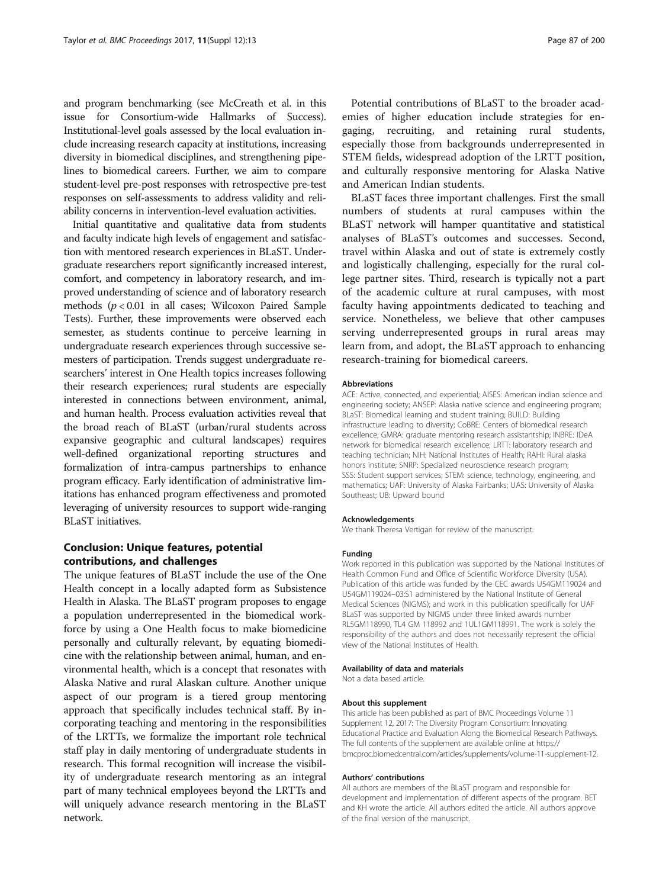and program benchmarking (see McCreath et al. in this issue for Consortium-wide Hallmarks of Success). Institutional-level goals assessed by the local evaluation include increasing research capacity at institutions, increasing diversity in biomedical disciplines, and strengthening pipelines to biomedical careers. Further, we aim to compare student-level pre-post responses with retrospective pre-test responses on self-assessments to address validity and reliability concerns in intervention-level evaluation activities.

Initial quantitative and qualitative data from students and faculty indicate high levels of engagement and satisfaction with mentored research experiences in BLaST. Undergraduate researchers report significantly increased interest, comfort, and competency in laboratory research, and improved understanding of science and of laboratory research methods  $(p < 0.01$  in all cases; Wilcoxon Paired Sample Tests). Further, these improvements were observed each semester, as students continue to perceive learning in undergraduate research experiences through successive semesters of participation. Trends suggest undergraduate researchers' interest in One Health topics increases following their research experiences; rural students are especially interested in connections between environment, animal, and human health. Process evaluation activities reveal that the broad reach of BLaST (urban/rural students across expansive geographic and cultural landscapes) requires well-defined organizational reporting structures and formalization of intra-campus partnerships to enhance program efficacy. Early identification of administrative limitations has enhanced program effectiveness and promoted leveraging of university resources to support wide-ranging BLaST initiatives.

# Conclusion: Unique features, potential contributions, and challenges

The unique features of BLaST include the use of the One Health concept in a locally adapted form as Subsistence Health in Alaska. The BLaST program proposes to engage a population underrepresented in the biomedical workforce by using a One Health focus to make biomedicine personally and culturally relevant, by equating biomedicine with the relationship between animal, human, and environmental health, which is a concept that resonates with Alaska Native and rural Alaskan culture. Another unique aspect of our program is a tiered group mentoring approach that specifically includes technical staff. By incorporating teaching and mentoring in the responsibilities of the LRTTs, we formalize the important role technical staff play in daily mentoring of undergraduate students in research. This formal recognition will increase the visibility of undergraduate research mentoring as an integral part of many technical employees beyond the LRTTs and will uniquely advance research mentoring in the BLaST network.

Potential contributions of BLaST to the broader academies of higher education include strategies for engaging, recruiting, and retaining rural students, especially those from backgrounds underrepresented in STEM fields, widespread adoption of the LRTT position, and culturally responsive mentoring for Alaska Native and American Indian students.

BLaST faces three important challenges. First the small numbers of students at rural campuses within the BLaST network will hamper quantitative and statistical analyses of BLaST's outcomes and successes. Second, travel within Alaska and out of state is extremely costly and logistically challenging, especially for the rural college partner sites. Third, research is typically not a part of the academic culture at rural campuses, with most faculty having appointments dedicated to teaching and service. Nonetheless, we believe that other campuses serving underrepresented groups in rural areas may learn from, and adopt, the BLaST approach to enhancing research-training for biomedical careers.

## Abbreviations

ACE: Active, connected, and experiential; AISES: American indian science and engineering society; ANSEP: Alaska native science and engineering program; BLaST: Biomedical learning and student training; BUILD: Building infrastructure leading to diversity; CoBRE: Centers of biomedical research excellence; GMRA: graduate mentoring research assistantship; INBRE: IDeA network for biomedical research excellence; LRTT: laboratory research and teaching technician; NIH: National Institutes of Health; RAHI: Rural alaska honors institute; SNRP: Specialized neuroscience research program; SSS: Student support services; STEM: science, technology, engineering, and mathematics; UAF: University of Alaska Fairbanks; UAS: University of Alaska Southeast; UB: Upward bound

#### Acknowledgements

We thank Theresa Vertigan for review of the manuscript.

## Funding

Work reported in this publication was supported by the National Institutes of Health Common Fund and Office of Scientific Workforce Diversity (USA). Publication of this article was funded by the CEC awards U54GM119024 and U54GM119024–03:S1 administered by the National Institute of General Medical Sciences (NIGMS); and work in this publication specifically for UAF BLaST was supported by NIGMS under three linked awards number RL5GM118990, TL4 GM 118992 and 1UL1GM118991. The work is solely the responsibility of the authors and does not necessarily represent the official view of the National Institutes of Health.

#### Availability of data and materials

Not a data based article.

## About this supplement

This article has been published as part of BMC Proceedings Volume 11 Supplement 12, 2017: The Diversity Program Consortium: Innovating Educational Practice and Evaluation Along the Biomedical Research Pathways. The full contents of the supplement are available online at [https://](https://bmcproc.biomedcentral.com/articles/supplements/volume-11-supplement-12) [bmcproc.biomedcentral.com/articles/supplements/volume-11-supplement-12](https://bmcproc.biomedcentral.com/articles/supplements/volume-11-supplement-12).

#### Authors' contributions

All authors are members of the BLaST program and responsible for development and implementation of different aspects of the program. BET and KH wrote the article. All authors edited the article. All authors approve of the final version of the manuscript.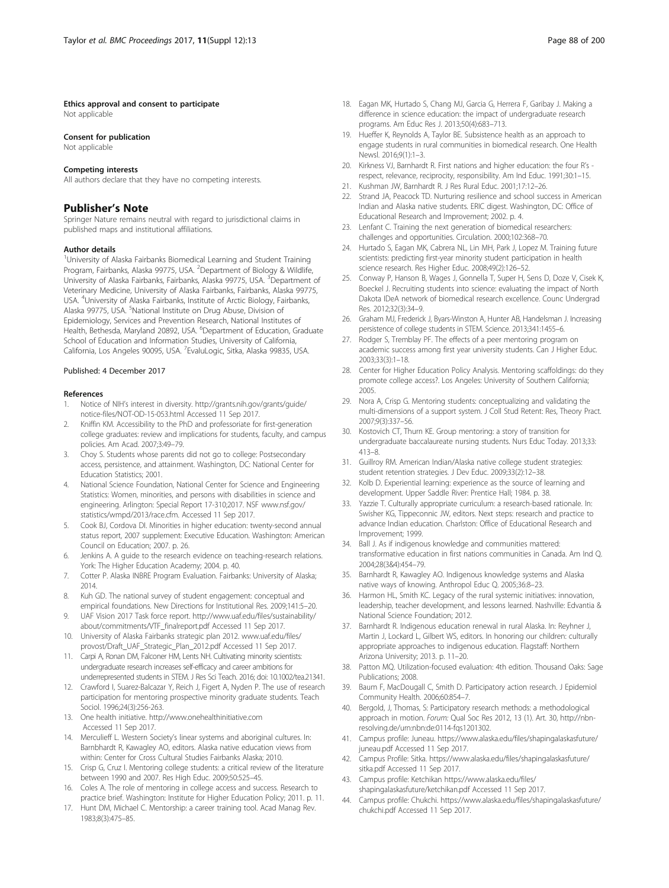#### <span id="page-9-0"></span>Ethics approval and consent to participate Not applicable

## Consent for publication

Not applicable

### Competing interests

All authors declare that they have no competing interests.

## Publisher's Note

Springer Nature remains neutral with regard to jurisdictional claims in published maps and institutional affiliations.

## Author details

<sup>1</sup>University of Alaska Fairbanks Biomedical Learning and Student Training Program, Fairbanks, Alaska 99775, USA. <sup>2</sup>Department of Biology & Wildlife, University of Alaska Fairbanks, Fairbanks, Alaska 99775, USA. <sup>3</sup>Department of Veterinary Medicine, University of Alaska Fairbanks, Fairbanks, Alaska 99775, USA. <sup>4</sup>University of Alaska Fairbanks, Institute of Arctic Biology, Fairbanks, Alaska 99775, USA. <sup>5</sup>National Institute on Drug Abuse, Division of Epidemiology, Services and Prevention Research, National Institutes of Health, Bethesda, Maryland 20892, USA. <sup>6</sup>Department of Education, Graduate School of Education and Information Studies, University of California, California, Los Angeles 90095, USA. <sup>7</sup>EvaluLogic, Sitka, Alaska 99835, USA.

## Published: 4 December 2017

## References

- 1. Notice of NIH's interest in diversity. [http://grants.nih.gov/grants/guide/](http://grants.nih.gov/grants/guide/notice-files/NOT-OD-15-053.html) [notice-files/NOT-OD-15-053.html](http://grants.nih.gov/grants/guide/notice-files/NOT-OD-15-053.html) Accessed 11 Sep 2017.
- 2. Kniffin KM. Accessibility to the PhD and professoriate for first-generation college graduates: review and implications for students, faculty, and campus policies. Am Acad. 2007;3:49–79.
- 3. Choy S. Students whose parents did not go to college: Postsecondary access, persistence, and attainment. Washington, DC: National Center for Education Statistics; 2001.
- 4. National Science Foundation, National Center for Science and Engineering Statistics: Women, minorities, and persons with disabilities in science and engineering. Arlington: Special Report 17-310;2017. NSF [www.nsf.gov/](http://www.nsf.gov/statistics/wmpd/2013/race.cfm) [statistics/wmpd/2013/race.cfm.](http://www.nsf.gov/statistics/wmpd/2013/race.cfm) Accessed 11 Sep 2017.
- 5. Cook BJ, Cordova DI. Minorities in higher education: twenty-second annual status report, 2007 supplement: Executive Education. Washington: American Council on Education; 2007. p. 26.
- 6. Jenkins A. A guide to the research evidence on teaching-research relations. York: The Higher Education Academy; 2004. p. 40.
- 7. Cotter P. Alaska INBRE Program Evaluation. Fairbanks: University of Alaska; 2014.
- 8. Kuh GD. The national survey of student engagement: conceptual and empirical foundations. New Directions for Institutional Res. 2009;141:5–20.
- 9. UAF Vision 2017 Task force report. [http://www.uaf.edu/files/sustainability/](http://www.uaf.edu/files/sustainability/about/commitments/VTF_finalreport.pdf) [about/commitments/VTF\\_finalreport.pdf](http://www.uaf.edu/files/sustainability/about/commitments/VTF_finalreport.pdf) Accessed 11 Sep 2017.
- 10. University of Alaska Fairbanks strategic plan 2012. [www.uaf.edu/files/](http://www.uaf.edu/files/provost/Draft_UAF_Strategic_Plan_2012.pdf) [provost/Draft\\_UAF\\_Strategic\\_Plan\\_2012.pdf](http://www.uaf.edu/files/provost/Draft_UAF_Strategic_Plan_2012.pdf) Accessed 11 Sep 2017.
- 11. Carpi A, Ronan DM, Falconer HM, Lents NH. Cultivating minority scientists: undergraduate research increases self-efficacy and career ambitions for underrepresented students in STEM. J Res Sci Teach. 2016; doi: [10.1002/tea.21341.](http://dx.doi.org/10.1002/tea.21341)
- 12. Crawford I, Suarez-Balcazar Y, Reich J, Figert A, Nyden P. The use of research participation for mentoring prospective minority graduate students. Teach Sociol. 1996;24(3):256-263.
- 13. One health initiative.<http://www.onehealthinitiative.com> Accessed 11 Sep 2017.
- 14. Merculieff L. Western Society's linear systems and aboriginal cultures. In: Barnbhardt R, Kawagley AO, editors. Alaska native education views from within: Center for Cross Cultural Studies Fairbanks Alaska; 2010.
- 15. Crisp G, Cruz I. Mentoring college students: a critical review of the literature between 1990 and 2007. Res High Educ. 2009;50:525–45.
- 16. Coles A. The role of mentoring in college access and success. Research to practice brief. Washington: Institute for Higher Education Policy; 2011. p. 11.
- 17. Hunt DM, Michael C. Mentorship: a career training tool. Acad Manag Rev. 1983;8(3):475–85.
- 18. Eagan MK, Hurtado S, Chang MJ, Garcia G, Herrera F, Garibay J. Making a difference in science education: the impact of undergraduate research programs. Am Educ Res J. 2013;50(4):683–713.
- 19. Hueffer K, Reynolds A, Taylor BE. Subsistence health as an approach to engage students in rural communities in biomedical research. One Health Newsl. 2016;9(1):1–3.
- 20. Kirkness VJ, Barnhardt R. First nations and higher education: the four R's respect, relevance, reciprocity, responsibility. Am Ind Educ. 1991;30:1–15.
- 21. Kushman JW, Barnhardt R. J Res Rural Educ. 2001;17:12–26.
- 22. Strand JA, Peacock TD. Nurturing resilience and school success in American Indian and Alaska native students. ERIC digest. Washington, DC: Office of Educational Research and Improvement; 2002. p. 4.
- 23. Lenfant C. Training the next generation of biomedical researchers: challenges and opportunities. Circulation. 2000;102:368–70.
- 24. Hurtado S, Eagan MK, Cabrera NL, Lin MH, Park J, Lopez M. Training future scientists: predicting first-year minority student participation in health science research. Res Higher Educ. 2008;49(2):126–52.
- 25. Conway P, Hanson B, Wages J, Gonnella T, Super H, Sens D, Doze V, Cisek K, Boeckel J. Recruiting students into science: evaluating the impact of North Dakota IDeA network of biomedical research excellence. Counc Undergrad Res. 2012;32(3):34–9.
- 26. Graham MJ, Frederick J, Byars-Winston A, Hunter AB, Handelsman J. Increasing persistence of college students in STEM. Science. 2013;341:1455–6.
- 27. Rodger S, Tremblay PF. The effects of a peer mentoring program on academic success among first year university students. Can J Higher Educ. 2003;33(3):1–18.
- 28. Center for Higher Education Policy Analysis. Mentoring scaffoldings: do they promote college access?. Los Angeles: University of Southern California; 2005.
- 29. Nora A, Crisp G. Mentoring students: conceptualizing and validating the multi-dimensions of a support system. J Coll Stud Retent: Res, Theory Pract. 2007;9(3):337–56.
- 30. Kostovich CT, Thurn KE. Group mentoring: a story of transition for undergraduate baccalaureate nursing students. Nurs Educ Today. 2013;33: 413–8.
- 31. Guillroy RM. American Indian/Alaska native college student strategies: student retention strategies. J Dev Educ. 2009;33(2):12–38.
- 32. Kolb D. Experiential learning: experience as the source of learning and development. Upper Saddle River: Prentice Hall; 1984. p. 38.
- 33. Yazzie T. Culturally appropriate curriculum: a research-based rationale. In: Swisher KG, Tippeconnic JW, editors. Next steps: research and practice to advance Indian education. Charlston: Office of Educational Research and Improvement; 1999.
- 34. Ball J. As if indigenous knowledge and communities mattered: transformative education in first nations communities in Canada. Am Ind Q. 2004;28(3&4):454–79.
- 35. Barnhardt R, Kawagley AO. Indigenous knowledge systems and Alaska native ways of knowing. Anthropol Educ Q. 2005;36:8–23.
- 36. Harmon HL, Smith KC. Legacy of the rural systemic initiatives: innovation, leadership, teacher development, and lessons learned. Nashville: Edvantia & National Science Foundation; 2012.
- 37. Barnhardt R. Indigenous education renewal in rural Alaska. In: Reyhner J, Martin J, Lockard L, Gilbert WS, editors. In honoring our children: culturally appropriate approaches to indigenous education. Flagstaff: Northern Arizona University; 2013. p. 11–20.
- 38. Patton MQ. Utilization-focused evaluation: 4th edition. Thousand Oaks: Sage Publications; 2008.
- 39. Baum F, MacDougall C, Smith D. Participatory action research. J Epidemiol Community Health. 2006;60:854–7.
- 40. Bergold, J, Thomas, S: Participatory research methods: a methodological approach in motion. Forum: Qual Soc Res 2012, 13 (1). Art. 30, [http://nbn](http://nbn-resolving.de/urn:nbn:de:0114-fqs1201302)[resolving.de/urn:nbn:de:0114-fqs1201302](http://nbn-resolving.de/urn:nbn:de:0114-fqs1201302).
- 41. Campus profile: Juneau. [https://www.alaska.edu/files/shapingalaskasfuture/](https://www.alaska.edu/files/shapingalaskasfuture/juneau.pdf) [juneau.pdf](https://www.alaska.edu/files/shapingalaskasfuture/juneau.pdf) Accessed 11 Sep 2017.
- 42. Campus Profile: Sitka. [https://www.alaska.edu/files/shapingalaskasfuture/](https://www.alaska.edu/files/shapingalaskasfuture/sitka.pdf) [sitka.pdf](https://www.alaska.edu/files/shapingalaskasfuture/sitka.pdf) Accessed 11 Sep 2017.
- 43. Campus profile: Ketchikan [https://www.alaska.edu/files/](https://www.alaska.edu/files/shapingalaskasfuture/ketchikan.pdf) [shapingalaskasfuture/ketchikan.pdf](https://www.alaska.edu/files/shapingalaskasfuture/ketchikan.pdf) Accessed 11 Sep 2017.
- 44. Campus profile: Chukchi. [https://www.alaska.edu/files/shapingalaskasfuture/](https://www.alaska.edu/files/shapingalaskasfuture/chukchi.pdf) [chukchi.pdf](https://www.alaska.edu/files/shapingalaskasfuture/chukchi.pdf) Accessed 11 Sep 2017.